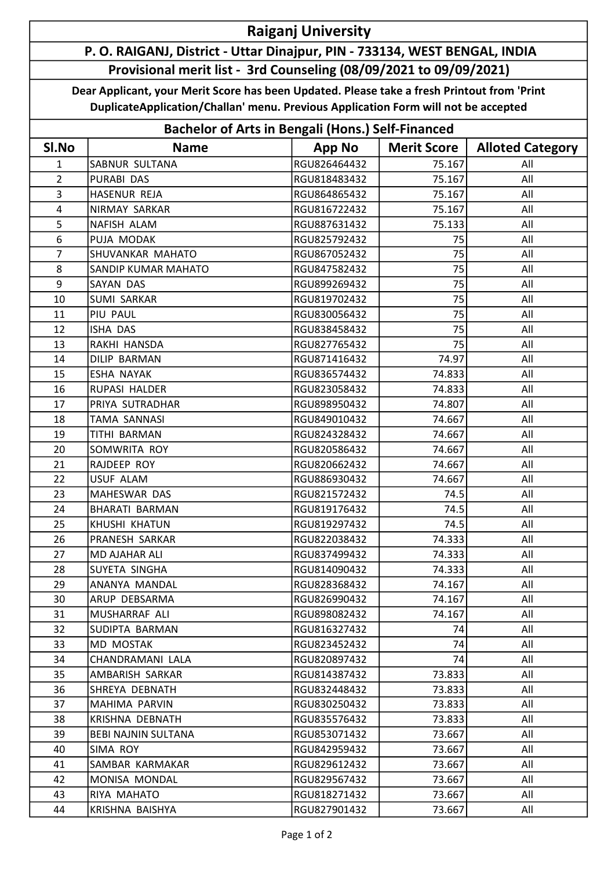## Raiganj University

## P. O. RAIGANJ, District - Uttar Dinajpur, PIN - 733134, WEST BENGAL, INDIA Provisional merit list - 3rd Counseling (08/09/2021 to 09/09/2021)

Dear Applicant, your Merit Score has been Updated. Please take a fresh Printout from 'Print DuplicateApplication/Challan' menu. Previous Application Form will not be accepted

| <b>Bachelor of Arts in Bengali (Hons.) Self-Financed</b> |                       |               |                    |                         |  |  |
|----------------------------------------------------------|-----------------------|---------------|--------------------|-------------------------|--|--|
| SI.No                                                    | <b>Name</b>           | <b>App No</b> | <b>Merit Score</b> | <b>Alloted Category</b> |  |  |
| $\mathbf{1}$                                             | <b>SABNUR SULTANA</b> | RGU826464432  | 75.167             | All                     |  |  |
| $\overline{2}$                                           | <b>PURABI DAS</b>     | RGU818483432  | 75.167             | All                     |  |  |
| 3                                                        | HASENUR REJA          | RGU864865432  | 75.167             | All                     |  |  |
| $\overline{4}$                                           | NIRMAY SARKAR         | RGU816722432  | 75.167             | All                     |  |  |
| 5                                                        | NAFISH ALAM           | RGU887631432  | 75.133             | All                     |  |  |
| 6                                                        | PUJA MODAK            | RGU825792432  | 75                 | All                     |  |  |
| $\overline{7}$                                           | SHUVANKAR MAHATO      | RGU867052432  | 75                 | All                     |  |  |
| 8                                                        | SANDIP KUMAR MAHATO   | RGU847582432  | 75                 | All                     |  |  |
| 9                                                        | SAYAN DAS             | RGU899269432  | 75                 | All                     |  |  |
| 10                                                       | <b>SUMI SARKAR</b>    | RGU819702432  | 75                 | All                     |  |  |
| 11                                                       | PIU PAUL              | RGU830056432  | 75                 | All                     |  |  |
| 12                                                       | ISHA DAS              | RGU838458432  | 75                 | All                     |  |  |
| 13                                                       | RAKHI HANSDA          | RGU827765432  | 75                 | All                     |  |  |
| 14                                                       | <b>DILIP BARMAN</b>   | RGU871416432  | 74.97              | All                     |  |  |
| 15                                                       | ESHA NAYAK            | RGU836574432  | 74.833             | All                     |  |  |
| 16                                                       | RUPASI HALDER         | RGU823058432  | 74.833             | All                     |  |  |
| 17                                                       | PRIYA SUTRADHAR       | RGU898950432  | 74.807             | All                     |  |  |
| 18                                                       | <b>TAMA SANNASI</b>   | RGU849010432  | 74.667             | All                     |  |  |
| 19                                                       | <b>TITHI BARMAN</b>   | RGU824328432  | 74.667             | All                     |  |  |
| 20                                                       | SOMWRITA ROY          | RGU820586432  | 74.667             | All                     |  |  |
| 21                                                       | RAJDEEP ROY           | RGU820662432  | 74.667             | All                     |  |  |
| 22                                                       | <b>USUF ALAM</b>      | RGU886930432  | 74.667             | All                     |  |  |
| 23                                                       | MAHESWAR DAS          | RGU821572432  | 74.5               | All                     |  |  |
| 24                                                       | <b>BHARATI BARMAN</b> | RGU819176432  | 74.5               | All                     |  |  |
| 25                                                       | KHUSHI KHATUN         | RGU819297432  | 74.5               | All                     |  |  |
| 26                                                       | PRANESH SARKAR        | RGU822038432  | 74.333             | All                     |  |  |
| 27                                                       | MD AJAHAR ALI         | RGU837499432  | 74.333             | All                     |  |  |
| 28                                                       | SUYETA SINGHA         | RGU814090432  | 74.333             | All                     |  |  |
| 29                                                       | ANANYA MANDAL         | RGU828368432  | 74.167             | All                     |  |  |
| 30                                                       | ARUP DEBSARMA         | RGU826990432  | 74.167             | All                     |  |  |
| 31                                                       | MUSHARRAF ALI         | RGU898082432  | 74.167             | All                     |  |  |
| 32                                                       | SUDIPTA BARMAN        | RGU816327432  | 74                 | All                     |  |  |
| 33                                                       | <b>MD MOSTAK</b>      | RGU823452432  | 74                 | All                     |  |  |
| 34                                                       | CHANDRAMANI LALA      | RGU820897432  | 74                 | All                     |  |  |
| 35                                                       | AMBARISH SARKAR       | RGU814387432  | 73.833             | All                     |  |  |
| 36                                                       | SHREYA DEBNATH        | RGU832448432  | 73.833             | All                     |  |  |
| 37                                                       | MAHIMA PARVIN         | RGU830250432  | 73.833             | All                     |  |  |
| 38                                                       | KRISHNA DEBNATH       | RGU835576432  | 73.833             | All                     |  |  |
| 39                                                       | BEBI NAJNIN SULTANA   | RGU853071432  | 73.667             | All                     |  |  |
| 40                                                       | SIMA ROY              | RGU842959432  | 73.667             | All                     |  |  |
| 41                                                       | SAMBAR KARMAKAR       | RGU829612432  | 73.667             | All                     |  |  |
| 42                                                       | MONISA MONDAL         | RGU829567432  | 73.667             | All                     |  |  |
| 43                                                       | RIYA MAHATO           | RGU818271432  | 73.667             | All                     |  |  |
| 44                                                       | KRISHNA BAISHYA       | RGU827901432  | 73.667             | All                     |  |  |